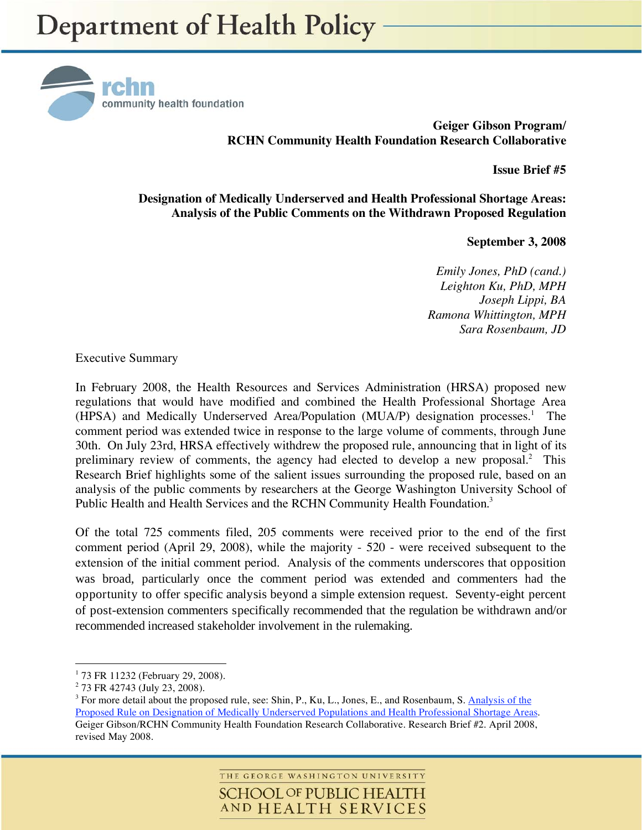

**Geiger Gibson Program/ RCHN Community Health Foundation Research Collaborative** 

**Issue Brief #5** 

**Designation of Medically Underserved and Health Professional Shortage Areas: Analysis of the Public Comments on the Withdrawn Proposed Regulation** 

 **September 3, 2008** 

*Emily Jones, PhD (cand.) Leighton Ku, PhD, MPH Joseph Lippi, BA Ramona Whittington, MPH Sara Rosenbaum, JD* 

Executive Summary

In February 2008, the Health Resources and Services Administration (HRSA) proposed new regulations that would have modified and combined the Health Professional Shortage Area (HPSA) and Medically Underserved Area/Population (MUA/P) designation processes.<sup>1</sup> The comment period was extended twice in response to the large volume of comments, through June 30th. On July 23rd, HRSA effectively withdrew the proposed rule, announcing that in light of its preliminary review of comments, the agency had elected to develop a new proposal. $2$  This Research Brief highlights some of the salient issues surrounding the proposed rule, based on an analysis of the public comments by researchers at the George Washington University School of Public Health and Health Services and the RCHN Community Health Foundation.<sup>3</sup>

Of the total 725 comments filed, 205 comments were received prior to the end of the first comment period (April 29, 2008), while the majority - 520 - were received subsequent to the extension of the initial comment period. Analysis of the comments underscores that opposition was broad, particularly once the comment period was extended and commenters had the opportunity to offer specific analysis beyond a simple extension request. Seventy-eight percent of post-extension commenters specifically recommended that the regulation be withdrawn and/or recommended increased stakeholder involvement in the rulemaking.

<u>.</u>

THE GEORGE WASHINGTON UNIVERSITY **SCHOOL OF PUBLIC HEALTH** AND HEALTH SERVICES

<sup>&</sup>lt;sup>1</sup> 73 FR 11232 (February 29, 2008).

<sup>&</sup>lt;sup>2</sup> 73 FR 42743 (July 23, 2008).

<sup>&</sup>lt;sup>3</sup> For more detail about the proposed rule, see: Shin, P., Ku, L., Jones, E., and Rosenbaum, S. Analysis of the Proposed Rule on Designation of Medically Underserved Populations and Health Professional Shortage Areas. Geiger Gibson/RCHN Community Health Foundation Research Collaborative. Research Brief #2. April 2008, revised May 2008.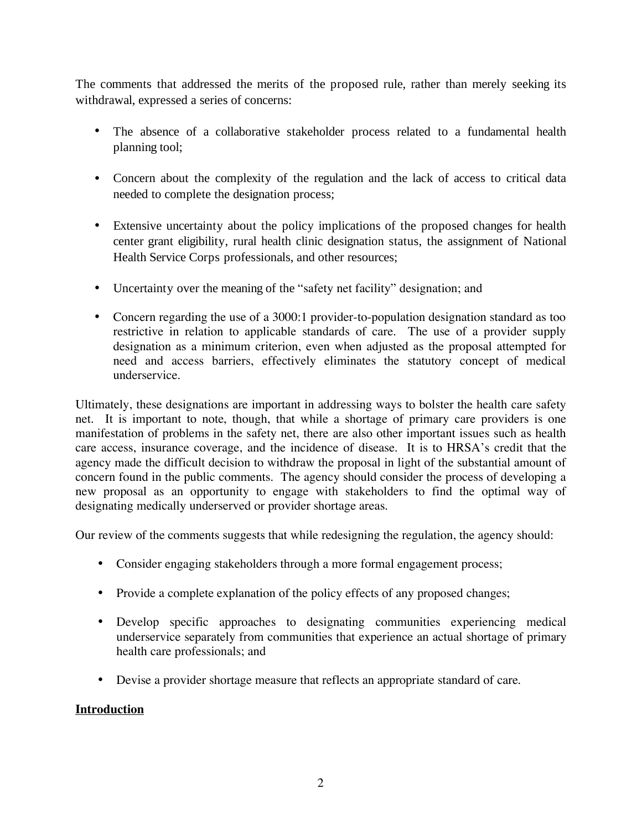The comments that addressed the merits of the proposed rule, rather than merely seeking its withdrawal, expressed a series of concerns:

- The absence of a collaborative stakeholder process related to a fundamental health planning tool;
- Concern about the complexity of the regulation and the lack of access to critical data needed to complete the designation process;
- Extensive uncertainty about the policy implications of the proposed changes for health center grant eligibility, rural health clinic designation status, the assignment of National Health Service Corps professionals, and other resources;
- Uncertainty over the meaning of the "safety net facility" designation; and
- Concern regarding the use of a 3000:1 provider-to-population designation standard as too restrictive in relation to applicable standards of care. The use of a provider supply designation as a minimum criterion, even when adjusted as the proposal attempted for need and access barriers, effectively eliminates the statutory concept of medical underservice.

Ultimately, these designations are important in addressing ways to bolster the health care safety net. It is important to note, though, that while a shortage of primary care providers is one manifestation of problems in the safety net, there are also other important issues such as health care access, insurance coverage, and the incidence of disease. It is to HRSA's credit that the agency made the difficult decision to withdraw the proposal in light of the substantial amount of concern found in the public comments. The agency should consider the process of developing a new proposal as an opportunity to engage with stakeholders to find the optimal way of designating medically underserved or provider shortage areas.

Our review of the comments suggests that while redesigning the regulation, the agency should:

- Consider engaging stakeholders through a more formal engagement process;
- Provide a complete explanation of the policy effects of any proposed changes;
- Develop specific approaches to designating communities experiencing medical underservice separately from communities that experience an actual shortage of primary health care professionals; and
- Devise a provider shortage measure that reflects an appropriate standard of care.

# **Introduction**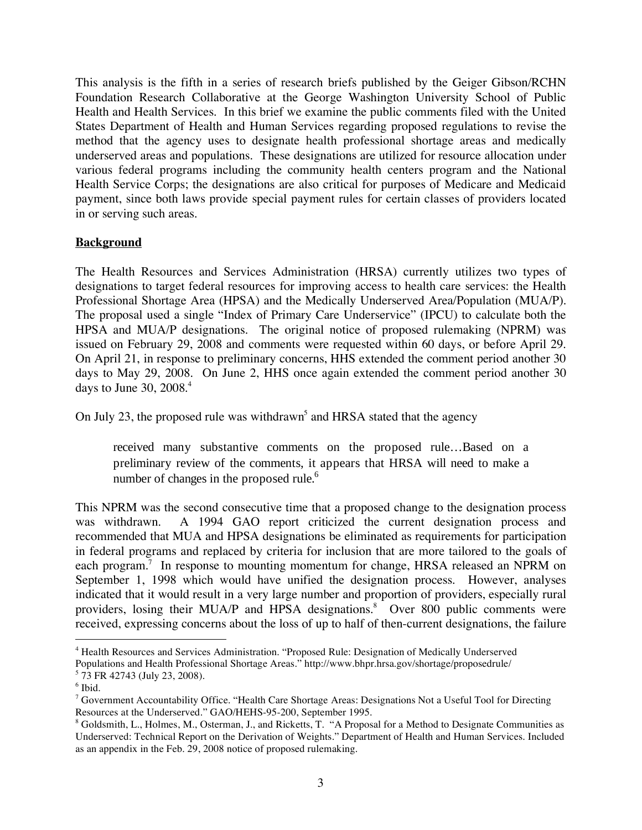This analysis is the fifth in a series of research briefs published by the Geiger Gibson/RCHN Foundation Research Collaborative at the George Washington University School of Public Health and Health Services. In this brief we examine the public comments filed with the United States Department of Health and Human Services regarding proposed regulations to revise the method that the agency uses to designate health professional shortage areas and medically underserved areas and populations. These designations are utilized for resource allocation under various federal programs including the community health centers program and the National Health Service Corps; the designations are also critical for purposes of Medicare and Medicaid payment, since both laws provide special payment rules for certain classes of providers located in or serving such areas.

## **Background**

The Health Resources and Services Administration (HRSA) currently utilizes two types of designations to target federal resources for improving access to health care services: the Health Professional Shortage Area (HPSA) and the Medically Underserved Area/Population (MUA/P). The proposal used a single "Index of Primary Care Underservice" (IPCU) to calculate both the HPSA and MUA/P designations. The original notice of proposed rulemaking (NPRM) was issued on February 29, 2008 and comments were requested within 60 days, or before April 29. On April 21, in response to preliminary concerns, HHS extended the comment period another 30 days to May 29, 2008. On June 2, HHS once again extended the comment period another 30 days to June 30,  $2008.<sup>4</sup>$ 

On July 23, the proposed rule was withdrawn<sup>5</sup> and HRSA stated that the agency

received many substantive comments on the proposed rule…Based on a preliminary review of the comments, it appears that HRSA will need to make a number of changes in the proposed rule.<sup>6</sup>

This NPRM was the second consecutive time that a proposed change to the designation process was withdrawn. A 1994 GAO report criticized the current designation process and recommended that MUA and HPSA designations be eliminated as requirements for participation in federal programs and replaced by criteria for inclusion that are more tailored to the goals of each program.<sup>7</sup> In response to mounting momentum for change, HRSA released an NPRM on September 1, 1998 which would have unified the designation process. However, analyses indicated that it would result in a very large number and proportion of providers, especially rural providers, losing their MUA/P and HPSA designations.<sup>8</sup> Over 800 public comments were received, expressing concerns about the loss of up to half of then-current designations, the failure

 $\overline{a}$ 

<sup>&</sup>lt;sup>4</sup> Health Resources and Services Administration. "Proposed Rule: Designation of Medically Underserved Populations and Health Professional Shortage Areas." http://www.bhpr.hrsa.gov/shortage/proposedrule/ 5 73 FR 42743 (July 23, 2008).

<sup>6</sup> Ibid.

 $7$  Government Accountability Office. "Health Care Shortage Areas: Designations Not a Useful Tool for Directing Resources at the Underserved." GAO/HEHS-95-200, September 1995.

<sup>&</sup>lt;sup>8</sup> Goldsmith, L., Holmes, M., Osterman, J., and Ricketts, T. "A Proposal for a Method to Designate Communities as Underserved: Technical Report on the Derivation of Weights." Department of Health and Human Services. Included as an appendix in the Feb. 29, 2008 notice of proposed rulemaking.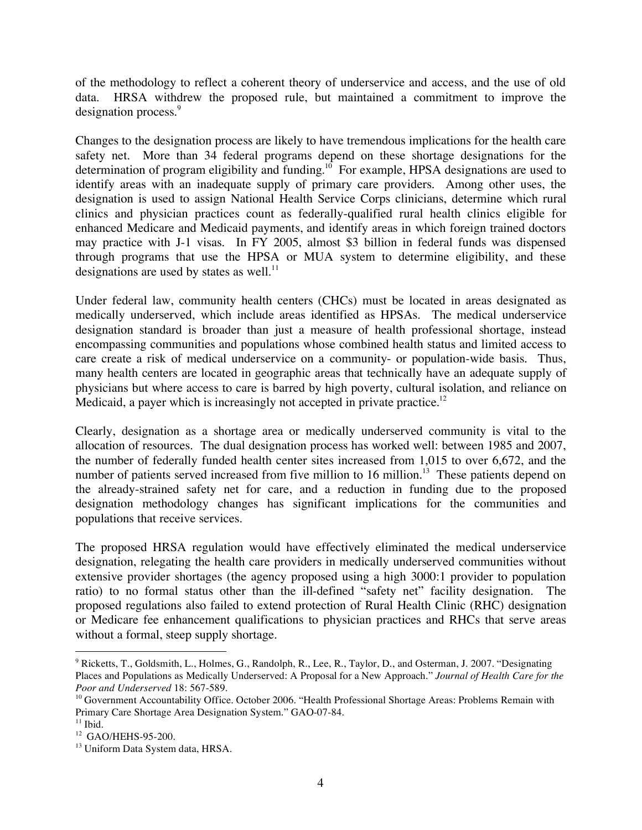of the methodology to reflect a coherent theory of underservice and access, and the use of old data. HRSA withdrew the proposed rule, but maintained a commitment to improve the designation process.<sup>9</sup>

Changes to the designation process are likely to have tremendous implications for the health care safety net. More than 34 federal programs depend on these shortage designations for the determination of program eligibility and funding.<sup>10</sup> For example, HPSA designations are used to identify areas with an inadequate supply of primary care providers. Among other uses, the designation is used to assign National Health Service Corps clinicians, determine which rural clinics and physician practices count as federally-qualified rural health clinics eligible for enhanced Medicare and Medicaid payments, and identify areas in which foreign trained doctors may practice with J-1 visas. In FY 2005, almost \$3 billion in federal funds was dispensed through programs that use the HPSA or MUA system to determine eligibility, and these designations are used by states as well. $^{11}$ 

Under federal law, community health centers (CHCs) must be located in areas designated as medically underserved, which include areas identified as HPSAs. The medical underservice designation standard is broader than just a measure of health professional shortage, instead encompassing communities and populations whose combined health status and limited access to care create a risk of medical underservice on a community- or population-wide basis. Thus, many health centers are located in geographic areas that technically have an adequate supply of physicians but where access to care is barred by high poverty, cultural isolation, and reliance on Medicaid, a payer which is increasingly not accepted in private practice.<sup>12</sup>

Clearly, designation as a shortage area or medically underserved community is vital to the allocation of resources. The dual designation process has worked well: between 1985 and 2007, the number of federally funded health center sites increased from 1,015 to over 6,672, and the number of patients served increased from five million to 16 million.<sup>13</sup> These patients depend on the already-strained safety net for care, and a reduction in funding due to the proposed designation methodology changes has significant implications for the communities and populations that receive services.

The proposed HRSA regulation would have effectively eliminated the medical underservice designation, relegating the health care providers in medically underserved communities without extensive provider shortages (the agency proposed using a high 3000:1 provider to population ratio) to no formal status other than the ill-defined "safety net" facility designation. The proposed regulations also failed to extend protection of Rural Health Clinic (RHC) designation or Medicare fee enhancement qualifications to physician practices and RHCs that serve areas without a formal, steep supply shortage.

 $\overline{a}$ 

<sup>&</sup>lt;sup>9</sup> Ricketts, T., Goldsmith, L., Holmes, G., Randolph, R., Lee, R., Taylor, D., and Osterman, J. 2007. "Designating Places and Populations as Medically Underserved: A Proposal for a New Approach." *Journal of Health Care for the Poor and Underserved* 18: 567-589.<br><sup>10</sup> Government Accountability Office. October 2006. "Health Professional Shortage Areas: Problems Remain with

Primary Care Shortage Area Designation System." GAO-07-84.

 $11$  Ibid.

<sup>12</sup> GAO/HEHS-95-200.

<sup>&</sup>lt;sup>13</sup> Uniform Data System data, HRSA.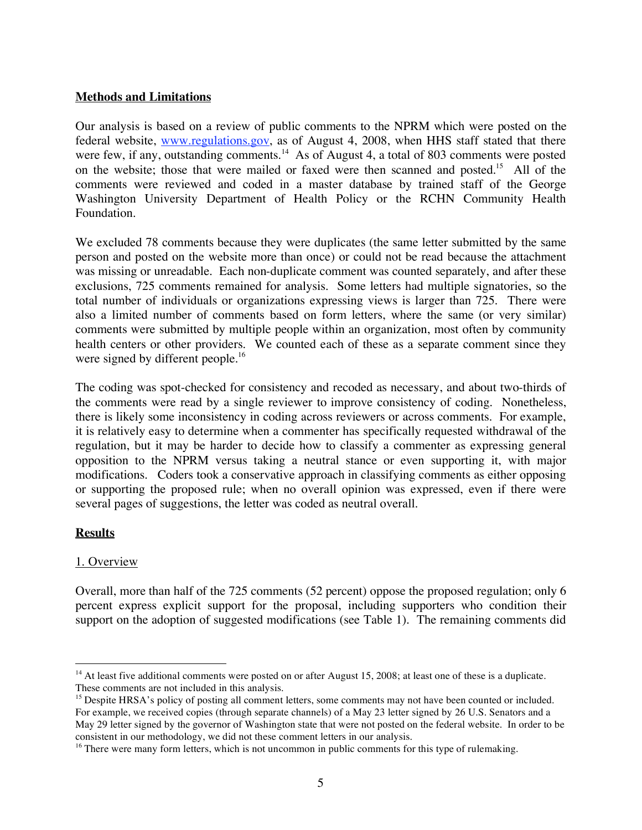## **Methods and Limitations**

Our analysis is based on a review of public comments to the NPRM which were posted on the federal website, www.regulations.gov, as of August 4, 2008, when HHS staff stated that there were few, if any, outstanding comments.<sup>14</sup> As of August 4, a total of 803 comments were posted on the website; those that were mailed or faxed were then scanned and posted.<sup>15</sup> All of the comments were reviewed and coded in a master database by trained staff of the George Washington University Department of Health Policy or the RCHN Community Health Foundation.

We excluded 78 comments because they were duplicates (the same letter submitted by the same person and posted on the website more than once) or could not be read because the attachment was missing or unreadable. Each non-duplicate comment was counted separately, and after these exclusions, 725 comments remained for analysis. Some letters had multiple signatories, so the total number of individuals or organizations expressing views is larger than 725. There were also a limited number of comments based on form letters, where the same (or very similar) comments were submitted by multiple people within an organization, most often by community health centers or other providers. We counted each of these as a separate comment since they were signed by different people.<sup>16</sup>

The coding was spot-checked for consistency and recoded as necessary, and about two-thirds of the comments were read by a single reviewer to improve consistency of coding. Nonetheless, there is likely some inconsistency in coding across reviewers or across comments. For example, it is relatively easy to determine when a commenter has specifically requested withdrawal of the regulation, but it may be harder to decide how to classify a commenter as expressing general opposition to the NPRM versus taking a neutral stance or even supporting it, with major modifications. Coders took a conservative approach in classifying comments as either opposing or supporting the proposed rule; when no overall opinion was expressed, even if there were several pages of suggestions, the letter was coded as neutral overall.

### **Results**

# 1. Overview

Overall, more than half of the 725 comments (52 percent) oppose the proposed regulation; only 6 percent express explicit support for the proposal, including supporters who condition their support on the adoption of suggested modifications (see Table 1). The remaining comments did

 $\overline{a}$ <sup>14</sup> At least five additional comments were posted on or after August 15, 2008; at least one of these is a duplicate. These comments are not included in this analysis.

<sup>&</sup>lt;sup>15</sup> Despite HRSA's policy of posting all comment letters, some comments may not have been counted or included. For example, we received copies (through separate channels) of a May 23 letter signed by 26 U.S. Senators and a May 29 letter signed by the governor of Washington state that were not posted on the federal website. In order to be consistent in our methodology, we did not these comment letters in our analysis.

<sup>&</sup>lt;sup>16</sup> There were many form letters, which is not uncommon in public comments for this type of rulemaking.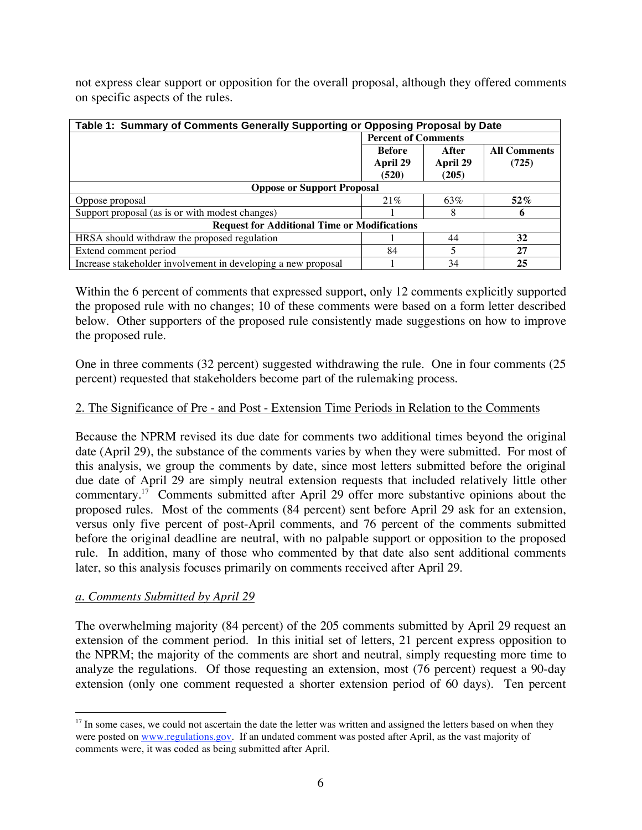not express clear support or opposition for the overall proposal, although they offered comments on specific aspects of the rules.

| Table 1: Summary of Comments Generally Supporting or Opposing Proposal by Date |                            |          |                     |  |  |  |
|--------------------------------------------------------------------------------|----------------------------|----------|---------------------|--|--|--|
|                                                                                | <b>Percent of Comments</b> |          |                     |  |  |  |
|                                                                                | <b>Before</b>              | After    | <b>All Comments</b> |  |  |  |
|                                                                                | April 29                   | April 29 | (725)               |  |  |  |
|                                                                                | (520)                      | (205)    |                     |  |  |  |
| <b>Oppose or Support Proposal</b>                                              |                            |          |                     |  |  |  |
| Oppose proposal                                                                | 21%                        | 63%      | $52\%$              |  |  |  |
| Support proposal (as is or with modest changes)                                |                            | 8        | 6                   |  |  |  |
| <b>Request for Additional Time or Modifications</b>                            |                            |          |                     |  |  |  |
| HRSA should withdraw the proposed regulation                                   |                            | 44       | 32                  |  |  |  |
| Extend comment period                                                          | 84                         | 5        | 27                  |  |  |  |
| Increase stakeholder involvement in developing a new proposal                  |                            | 34       | 25                  |  |  |  |

Within the 6 percent of comments that expressed support, only 12 comments explicitly supported the proposed rule with no changes; 10 of these comments were based on a form letter described below. Other supporters of the proposed rule consistently made suggestions on how to improve the proposed rule.

One in three comments (32 percent) suggested withdrawing the rule. One in four comments (25 percent) requested that stakeholders become part of the rulemaking process.

## 2. The Significance of Pre - and Post - Extension Time Periods in Relation to the Comments

Because the NPRM revised its due date for comments two additional times beyond the original date (April 29), the substance of the comments varies by when they were submitted. For most of this analysis, we group the comments by date, since most letters submitted before the original due date of April 29 are simply neutral extension requests that included relatively little other commentary.17 Comments submitted after April 29 offer more substantive opinions about the proposed rules. Most of the comments (84 percent) sent before April 29 ask for an extension, versus only five percent of post-April comments, and 76 percent of the comments submitted before the original deadline are neutral, with no palpable support or opposition to the proposed rule. In addition, many of those who commented by that date also sent additional comments later, so this analysis focuses primarily on comments received after April 29.

### *a. Comments Submitted by April 29*

The overwhelming majority (84 percent) of the 205 comments submitted by April 29 request an extension of the comment period. In this initial set of letters, 21 percent express opposition to the NPRM; the majority of the comments are short and neutral, simply requesting more time to analyze the regulations. Of those requesting an extension, most (76 percent) request a 90-day extension (only one comment requested a shorter extension period of 60 days). Ten percent

 $\overline{a}$  $17$  In some cases, we could not ascertain the date the letter was written and assigned the letters based on when they were posted on www.regulations.gov. If an undated comment was posted after April, as the vast majority of comments were, it was coded as being submitted after April.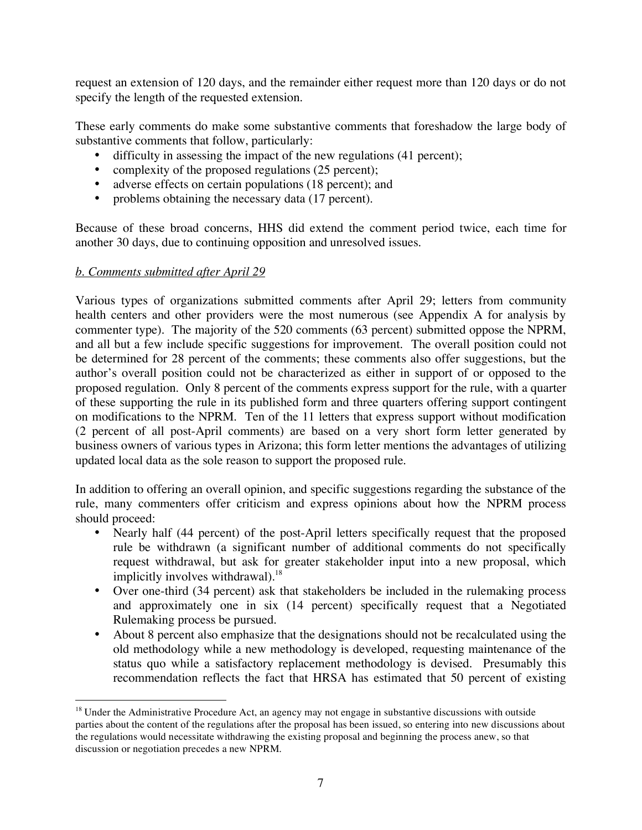request an extension of 120 days, and the remainder either request more than 120 days or do not specify the length of the requested extension.

These early comments do make some substantive comments that foreshadow the large body of substantive comments that follow, particularly:

- difficulty in assessing the impact of the new regulations (41 percent);
- complexity of the proposed regulations (25 percent);
- adverse effects on certain populations (18 percent); and
- problems obtaining the necessary data (17 percent).

Because of these broad concerns, HHS did extend the comment period twice, each time for another 30 days, due to continuing opposition and unresolved issues.

### *b. Comments submitted after April 29*

Various types of organizations submitted comments after April 29; letters from community health centers and other providers were the most numerous (see Appendix A for analysis by commenter type). The majority of the 520 comments (63 percent) submitted oppose the NPRM, and all but a few include specific suggestions for improvement. The overall position could not be determined for 28 percent of the comments; these comments also offer suggestions, but the author's overall position could not be characterized as either in support of or opposed to the proposed regulation. Only 8 percent of the comments express support for the rule, with a quarter of these supporting the rule in its published form and three quarters offering support contingent on modifications to the NPRM. Ten of the 11 letters that express support without modification (2 percent of all post-April comments) are based on a very short form letter generated by business owners of various types in Arizona; this form letter mentions the advantages of utilizing updated local data as the sole reason to support the proposed rule.

In addition to offering an overall opinion, and specific suggestions regarding the substance of the rule, many commenters offer criticism and express opinions about how the NPRM process should proceed:

- Nearly half (44 percent) of the post-April letters specifically request that the proposed rule be withdrawn (a significant number of additional comments do not specifically request withdrawal, but ask for greater stakeholder input into a new proposal, which implicitly involves withdrawal). $18$
- Over one-third (34 percent) ask that stakeholders be included in the rulemaking process and approximately one in six (14 percent) specifically request that a Negotiated Rulemaking process be pursued.
- About 8 percent also emphasize that the designations should not be recalculated using the old methodology while a new methodology is developed, requesting maintenance of the status quo while a satisfactory replacement methodology is devised. Presumably this recommendation reflects the fact that HRSA has estimated that 50 percent of existing

 $\overline{a}$ <sup>18</sup> Under the Administrative Procedure Act, an agency may not engage in substantive discussions with outside parties about the content of the regulations after the proposal has been issued, so entering into new discussions about the regulations would necessitate withdrawing the existing proposal and beginning the process anew, so that discussion or negotiation precedes a new NPRM.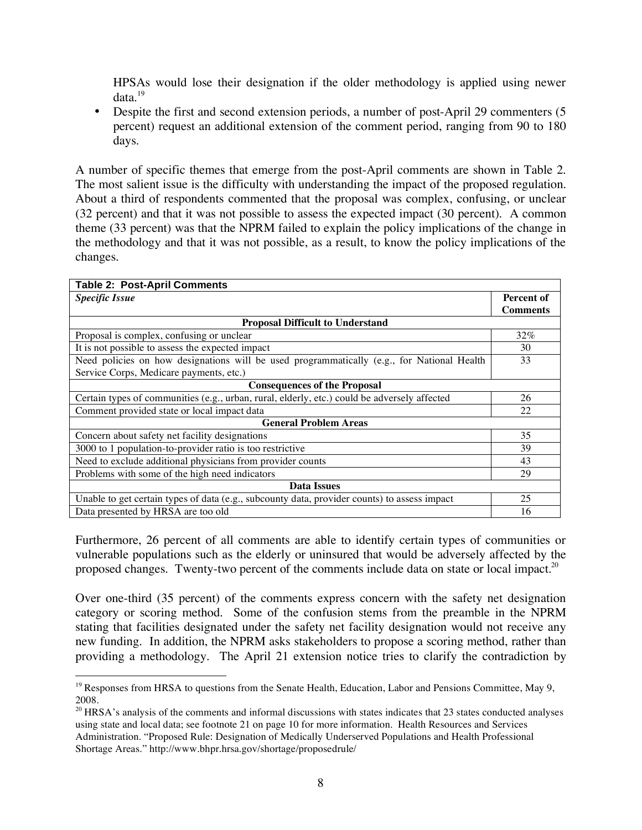HPSAs would lose their designation if the older methodology is applied using newer data.<sup>19</sup>

• Despite the first and second extension periods, a number of post-April 29 commenters (5 percent) request an additional extension of the comment period, ranging from 90 to 180 days.

A number of specific themes that emerge from the post-April comments are shown in Table 2. The most salient issue is the difficulty with understanding the impact of the proposed regulation. About a third of respondents commented that the proposal was complex, confusing, or unclear (32 percent) and that it was not possible to assess the expected impact (30 percent). A common theme (33 percent) was that the NPRM failed to explain the policy implications of the change in the methodology and that it was not possible, as a result, to know the policy implications of the changes.

| <b>Table 2: Post-April Comments</b>                                                          |                 |  |  |  |  |
|----------------------------------------------------------------------------------------------|-----------------|--|--|--|--|
| <b>Specific Issue</b>                                                                        | Percent of      |  |  |  |  |
|                                                                                              | <b>Comments</b> |  |  |  |  |
| <b>Proposal Difficult to Understand</b>                                                      |                 |  |  |  |  |
| Proposal is complex, confusing or unclear                                                    | 32%             |  |  |  |  |
| It is not possible to assess the expected impact                                             | 30              |  |  |  |  |
| Need policies on how designations will be used programmatically (e.g., for National Health   |                 |  |  |  |  |
| Service Corps, Medicare payments, etc.)                                                      |                 |  |  |  |  |
| <b>Consequences of the Proposal</b>                                                          |                 |  |  |  |  |
| Certain types of communities (e.g., urban, rural, elderly, etc.) could be adversely affected | 26              |  |  |  |  |
| Comment provided state or local impact data                                                  | 22              |  |  |  |  |
| <b>General Problem Areas</b>                                                                 |                 |  |  |  |  |
| Concern about safety net facility designations                                               | 35              |  |  |  |  |
| 3000 to 1 population-to-provider ratio is too restrictive                                    | 39              |  |  |  |  |
| Need to exclude additional physicians from provider counts                                   | 43              |  |  |  |  |
| Problems with some of the high need indicators                                               | 29              |  |  |  |  |
| Data Issues                                                                                  |                 |  |  |  |  |
| Unable to get certain types of data (e.g., subcounty data, provider counts) to assess impact | 25              |  |  |  |  |
| Data presented by HRSA are too old                                                           | 16              |  |  |  |  |

Furthermore, 26 percent of all comments are able to identify certain types of communities or vulnerable populations such as the elderly or uninsured that would be adversely affected by the proposed changes. Twenty-two percent of the comments include data on state or local impact.<sup>20</sup>

Over one-third (35 percent) of the comments express concern with the safety net designation category or scoring method. Some of the confusion stems from the preamble in the NPRM stating that facilities designated under the safety net facility designation would not receive any new funding. In addition, the NPRM asks stakeholders to propose a scoring method, rather than providing a methodology. The April 21 extension notice tries to clarify the contradiction by

<sup>-</sup><sup>19</sup> Responses from HRSA to questions from the Senate Health, Education, Labor and Pensions Committee, May 9, 2008.

<sup>&</sup>lt;sup>20</sup> HRSA's analysis of the comments and informal discussions with states indicates that 23 states conducted analyses using state and local data; see footnote 21 on page 10 for more information. Health Resources and Services Administration. "Proposed Rule: Designation of Medically Underserved Populations and Health Professional Shortage Areas." http://www.bhpr.hrsa.gov/shortage/proposedrule/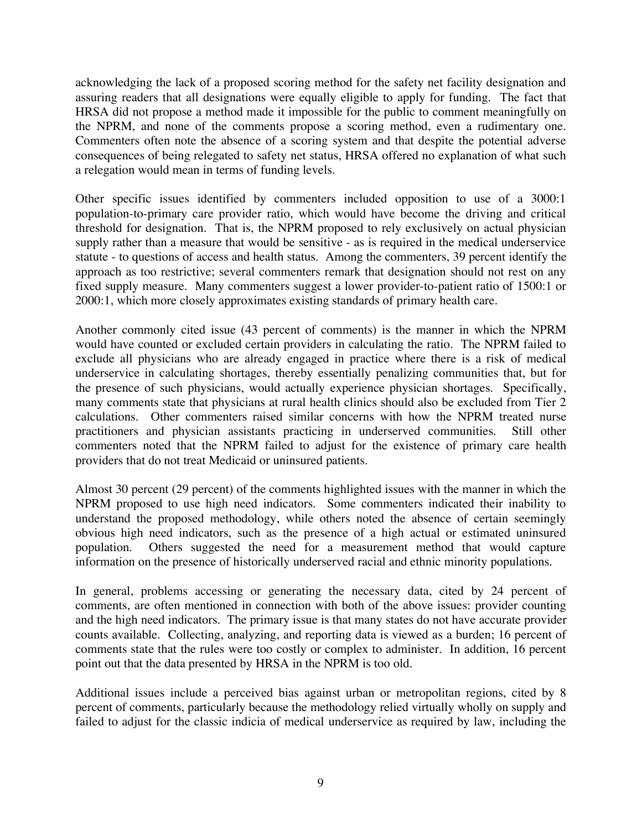acknowledging the lack of a proposed scoring method for the safety net facility designation and assuring readers that all designations were equally eligible to apply for funding. The fact that HRSA did not propose a method made it impossible for the public to comment meaningfully on the NPRM, and none of the comments propose a scoring method, even a rudimentary one. Commenters often note the absence of a scoring system and that despite the potential adverse consequences of being relegated to safety net status, HRSA offered no explanation of what such a relegation would mean in terms of funding levels.

Other specific issues identified by commenters included opposition to use of a 3000:1 population-to-primary care provider ratio, which would have become the driving and critical threshold for designation. That is, the NPRM proposed to rely exclusively on actual physician supply rather than a measure that would be sensitive - as is required in the medical underservice statute - to questions of access and health status. Among the commenters, 39 percent identify the approach as too restrictive; several commenters remark that designation should not rest on any fixed supply measure. Many commenters suggest a lower provider-to-patient ratio of 1500:1 or 2000:1, which more closely approximates existing standards of primary health care.

Another commonly cited issue (43 percent of comments) is the manner in which the NPRM would have counted or excluded certain providers in calculating the ratio. The NPRM failed to exclude all physicians who are already engaged in practice where there is a risk of medical underservice in calculating shortages, thereby essentially penalizing communities that, but for the presence of such physicians, would actually experience physician shortages. Specifically, many comments state that physicians at rural health clinics should also be excluded from Tier 2 calculations. Other commenters raised similar concerns with how the NPRM treated nurse practitioners and physician assistants practicing in underserved communities. Still other commenters noted that the NPRM failed to adjust for the existence of primary care health providers that do not treat Medicaid or uninsured patients.

Almost 30 percent (29 percent) of the comments highlighted issues with the manner in which the NPRM proposed to use high need indicators. Some commenters indicated their inability to understand the proposed methodology, while others noted the absence of certain seemingly obvious high need indicators, such as the presence of a high actual or estimated uninsured population. Others suggested the need for a measurement method that would capture information on the presence of historically underserved racial and ethnic minority populations.

In general, problems accessing or generating the necessary data, cited by 24 percent of comments, are often mentioned in connection with both of the above issues: provider counting and the high need indicators. The primary issue is that many states do not have accurate provider counts available. Collecting, analyzing, and reporting data is viewed as a burden; 16 percent of comments state that the rules were too costly or complex to administer. In addition, 16 percent point out that the data presented by HRSA in the NPRM is too old.

Additional issues include a perceived bias against urban or metropolitan regions, cited by 8 percent of comments, particularly because the methodology relied virtually wholly on supply and failed to adjust for the classic indicia of medical underservice as required by law, including the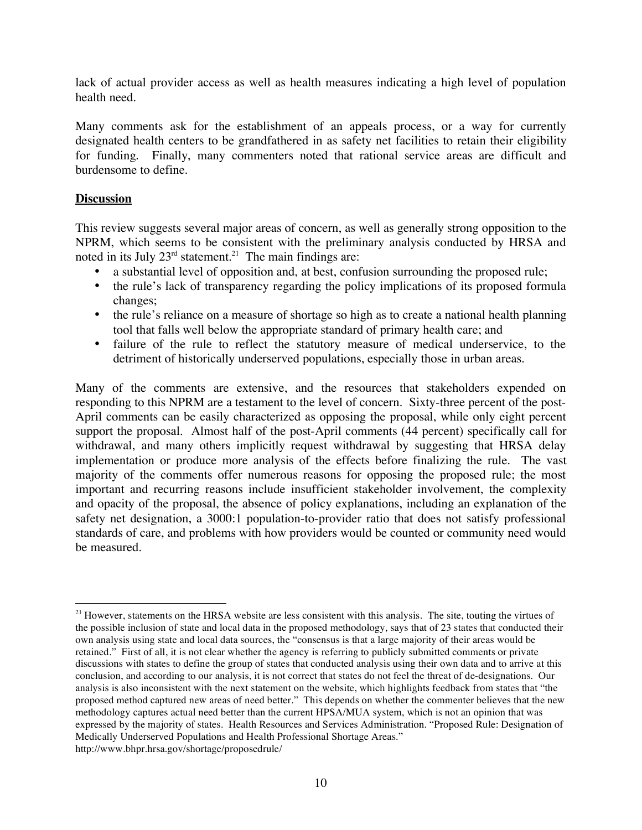lack of actual provider access as well as health measures indicating a high level of population health need.

Many comments ask for the establishment of an appeals process, or a way for currently designated health centers to be grandfathered in as safety net facilities to retain their eligibility for funding. Finally, many commenters noted that rational service areas are difficult and burdensome to define.

## **Discussion**

 $\overline{a}$ 

This review suggests several major areas of concern, as well as generally strong opposition to the NPRM, which seems to be consistent with the preliminary analysis conducted by HRSA and noted in its July  $23<sup>rd</sup>$  statement.<sup>21</sup> The main findings are:

- a substantial level of opposition and, at best, confusion surrounding the proposed rule;
- the rule's lack of transparency regarding the policy implications of its proposed formula changes;
- the rule's reliance on a measure of shortage so high as to create a national health planning tool that falls well below the appropriate standard of primary health care; and
- failure of the rule to reflect the statutory measure of medical underservice, to the detriment of historically underserved populations, especially those in urban areas.

Many of the comments are extensive, and the resources that stakeholders expended on responding to this NPRM are a testament to the level of concern. Sixty-three percent of the post-April comments can be easily characterized as opposing the proposal, while only eight percent support the proposal. Almost half of the post-April comments (44 percent) specifically call for withdrawal, and many others implicitly request withdrawal by suggesting that HRSA delay implementation or produce more analysis of the effects before finalizing the rule. The vast majority of the comments offer numerous reasons for opposing the proposed rule; the most important and recurring reasons include insufficient stakeholder involvement, the complexity and opacity of the proposal, the absence of policy explanations, including an explanation of the safety net designation, a 3000:1 population-to-provider ratio that does not satisfy professional standards of care, and problems with how providers would be counted or community need would be measured.

 $21$  However, statements on the HRSA website are less consistent with this analysis. The site, touting the virtues of the possible inclusion of state and local data in the proposed methodology, says that of 23 states that conducted their own analysis using state and local data sources, the "consensus is that a large majority of their areas would be retained." First of all, it is not clear whether the agency is referring to publicly submitted comments or private discussions with states to define the group of states that conducted analysis using their own data and to arrive at this conclusion, and according to our analysis, it is not correct that states do not feel the threat of de-designations. Our analysis is also inconsistent with the next statement on the website, which highlights feedback from states that "the proposed method captured new areas of need better." This depends on whether the commenter believes that the new methodology captures actual need better than the current HPSA/MUA system, which is not an opinion that was expressed by the majority of states. Health Resources and Services Administration. "Proposed Rule: Designation of Medically Underserved Populations and Health Professional Shortage Areas." http://www.bhpr.hrsa.gov/shortage/proposedrule/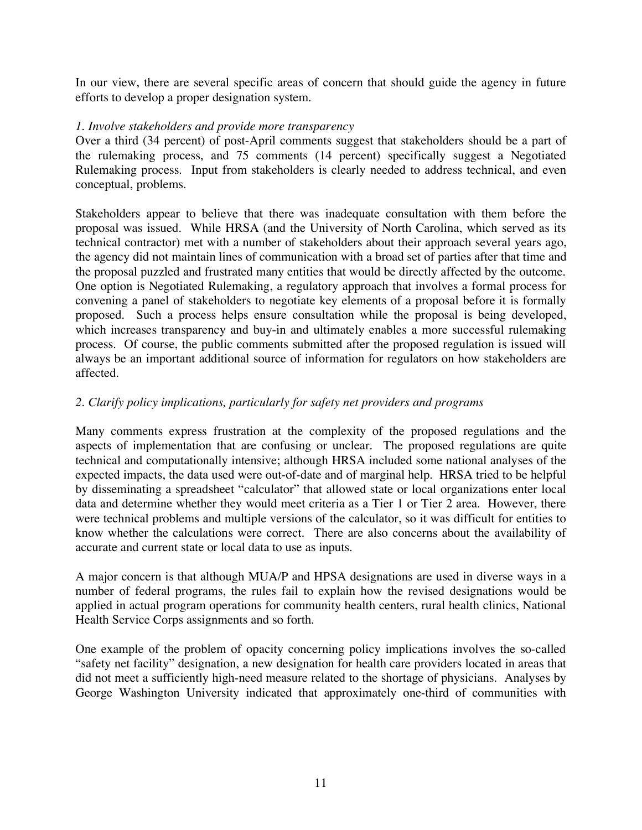In our view, there are several specific areas of concern that should guide the agency in future efforts to develop a proper designation system.

## *1. Involve stakeholders and provide more transparency*

Over a third (34 percent) of post-April comments suggest that stakeholders should be a part of the rulemaking process, and 75 comments (14 percent) specifically suggest a Negotiated Rulemaking process. Input from stakeholders is clearly needed to address technical, and even conceptual, problems.

Stakeholders appear to believe that there was inadequate consultation with them before the proposal was issued. While HRSA (and the University of North Carolina, which served as its technical contractor) met with a number of stakeholders about their approach several years ago, the agency did not maintain lines of communication with a broad set of parties after that time and the proposal puzzled and frustrated many entities that would be directly affected by the outcome. One option is Negotiated Rulemaking, a regulatory approach that involves a formal process for convening a panel of stakeholders to negotiate key elements of a proposal before it is formally proposed. Such a process helps ensure consultation while the proposal is being developed, which increases transparency and buy-in and ultimately enables a more successful rulemaking process. Of course, the public comments submitted after the proposed regulation is issued will always be an important additional source of information for regulators on how stakeholders are affected.

# *2. Clarify policy implications, particularly for safety net providers and programs*

Many comments express frustration at the complexity of the proposed regulations and the aspects of implementation that are confusing or unclear. The proposed regulations are quite technical and computationally intensive; although HRSA included some national analyses of the expected impacts, the data used were out-of-date and of marginal help. HRSA tried to be helpful by disseminating a spreadsheet "calculator" that allowed state or local organizations enter local data and determine whether they would meet criteria as a Tier 1 or Tier 2 area. However, there were technical problems and multiple versions of the calculator, so it was difficult for entities to know whether the calculations were correct. There are also concerns about the availability of accurate and current state or local data to use as inputs.

A major concern is that although MUA/P and HPSA designations are used in diverse ways in a number of federal programs, the rules fail to explain how the revised designations would be applied in actual program operations for community health centers, rural health clinics, National Health Service Corps assignments and so forth.

One example of the problem of opacity concerning policy implications involves the so-called "safety net facility" designation, a new designation for health care providers located in areas that did not meet a sufficiently high-need measure related to the shortage of physicians. Analyses by George Washington University indicated that approximately one-third of communities with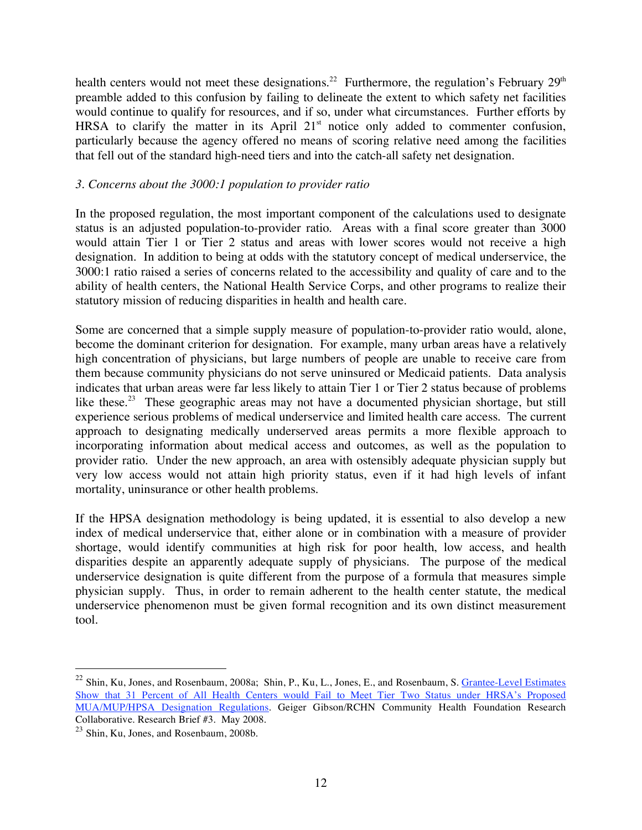health centers would not meet these designations.<sup>22</sup> Furthermore, the regulation's February  $29<sup>th</sup>$ preamble added to this confusion by failing to delineate the extent to which safety net facilities would continue to qualify for resources, and if so, under what circumstances. Further efforts by HRSA to clarify the matter in its April  $21<sup>st</sup>$  notice only added to commenter confusion, particularly because the agency offered no means of scoring relative need among the facilities that fell out of the standard high-need tiers and into the catch-all safety net designation.

### *3. Concerns about the 3000:1 population to provider ratio*

In the proposed regulation, the most important component of the calculations used to designate status is an adjusted population-to-provider ratio. Areas with a final score greater than 3000 would attain Tier 1 or Tier 2 status and areas with lower scores would not receive a high designation. In addition to being at odds with the statutory concept of medical underservice, the 3000:1 ratio raised a series of concerns related to the accessibility and quality of care and to the ability of health centers, the National Health Service Corps, and other programs to realize their statutory mission of reducing disparities in health and health care.

Some are concerned that a simple supply measure of population-to-provider ratio would, alone, become the dominant criterion for designation. For example, many urban areas have a relatively high concentration of physicians, but large numbers of people are unable to receive care from them because community physicians do not serve uninsured or Medicaid patients. Data analysis indicates that urban areas were far less likely to attain Tier 1 or Tier 2 status because of problems like these.<sup>23</sup> These geographic areas may not have a documented physician shortage, but still experience serious problems of medical underservice and limited health care access. The current approach to designating medically underserved areas permits a more flexible approach to incorporating information about medical access and outcomes, as well as the population to provider ratio. Under the new approach, an area with ostensibly adequate physician supply but very low access would not attain high priority status, even if it had high levels of infant mortality, uninsurance or other health problems.

If the HPSA designation methodology is being updated, it is essential to also develop a new index of medical underservice that, either alone or in combination with a measure of provider shortage, would identify communities at high risk for poor health, low access, and health disparities despite an apparently adequate supply of physicians. The purpose of the medical underservice designation is quite different from the purpose of a formula that measures simple physician supply. Thus, in order to remain adherent to the health center statute, the medical underservice phenomenon must be given formal recognition and its own distinct measurement tool.

 $\overline{a}$ 

 $^{22}$  Shin, Ku, Jones, and Rosenbaum, 2008a; Shin, P., Ku, L., Jones, E., and Rosenbaum, S.  $G$ rantee-Level Estimates Show that 31 Percent of All Health Centers would Fail to Meet Tier Two Status under HRSA's Proposed MUA/MUP/HPSA Designation Regulations. Geiger Gibson/RCHN Community Health Foundation Research Collaborative. Research Brief #3. May 2008.

 $23$  Shin, Ku, Jones, and Rosenbaum, 2008b.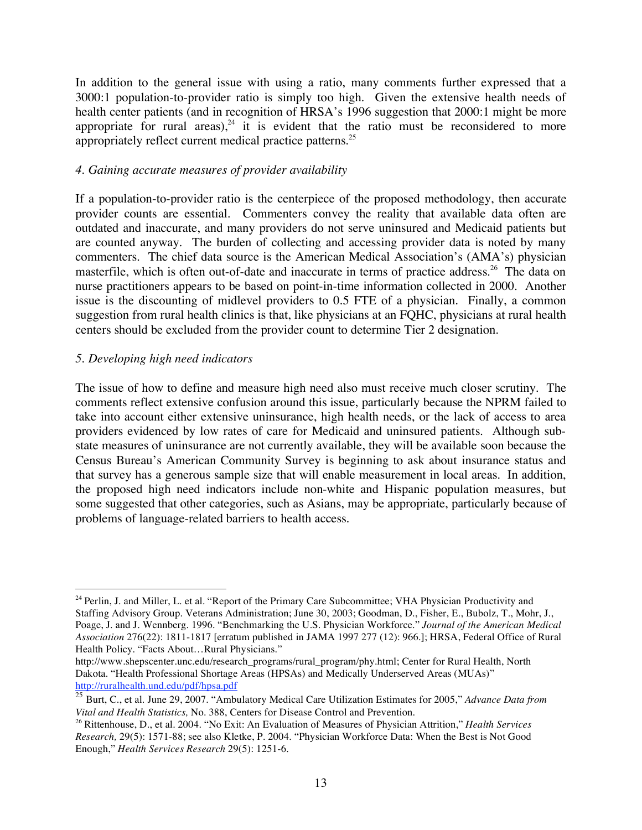In addition to the general issue with using a ratio, many comments further expressed that a 3000:1 population-to-provider ratio is simply too high. Given the extensive health needs of health center patients (and in recognition of HRSA's 1996 suggestion that 2000:1 might be more appropriate for rural areas),<sup>24</sup> it is evident that the ratio must be reconsidered to more appropriately reflect current medical practice patterns.25

## *4. Gaining accurate measures of provider availability*

If a population-to-provider ratio is the centerpiece of the proposed methodology, then accurate provider counts are essential. Commenters convey the reality that available data often are outdated and inaccurate, and many providers do not serve uninsured and Medicaid patients but are counted anyway. The burden of collecting and accessing provider data is noted by many commenters. The chief data source is the American Medical Association's (AMA's) physician masterfile, which is often out-of-date and inaccurate in terms of practice address.<sup>26</sup> The data on nurse practitioners appears to be based on point-in-time information collected in 2000. Another issue is the discounting of midlevel providers to 0.5 FTE of a physician. Finally, a common suggestion from rural health clinics is that, like physicians at an FQHC, physicians at rural health centers should be excluded from the provider count to determine Tier 2 designation.

## *5. Developing high need indicators*

The issue of how to define and measure high need also must receive much closer scrutiny. The comments reflect extensive confusion around this issue, particularly because the NPRM failed to take into account either extensive uninsurance, high health needs, or the lack of access to area providers evidenced by low rates of care for Medicaid and uninsured patients. Although substate measures of uninsurance are not currently available, they will be available soon because the Census Bureau's American Community Survey is beginning to ask about insurance status and that survey has a generous sample size that will enable measurement in local areas. In addition, the proposed high need indicators include non-white and Hispanic population measures, but some suggested that other categories, such as Asians, may be appropriate, particularly because of problems of language-related barriers to health access.

<sup>-</sup><sup>24</sup> Perlin, J. and Miller, L. et al. "Report of the Primary Care Subcommittee; VHA Physician Productivity and Staffing Advisory Group. Veterans Administration; June 30, 2003; Goodman, D., Fisher, E., Bubolz, T., Mohr, J., Poage, J. and J. Wennberg. 1996. "Benchmarking the U.S. Physician Workforce." *Journal of the American Medical Association* 276(22): 1811-1817 [erratum published in JAMA 1997 277 (12): 966.]; HRSA, Federal Office of Rural Health Policy. "Facts About…Rural Physicians."

http://www.shepscenter.unc.edu/research\_programs/rural\_program/phy.html; Center for Rural Health, North Dakota. "Health Professional Shortage Areas (HPSAs) and Medically Underserved Areas (MUAs)" http://ruralhealth.und.edu/pdf/hpsa.pdf

<sup>25</sup> Burt, C., et al. June 29, 2007. "Ambulatory Medical Care Utilization Estimates for 2005," *Advance Data from Vital and Health Statistics,* No. 388, Centers for Disease Control and Prevention.

<sup>26</sup> Rittenhouse, D., et al. 2004. "No Exit: An Evaluation of Measures of Physician Attrition," *Health Services Research,* 29(5): 1571-88; see also Kletke, P. 2004. "Physician Workforce Data: When the Best is Not Good Enough," *Health Services Research* 29(5): 1251-6.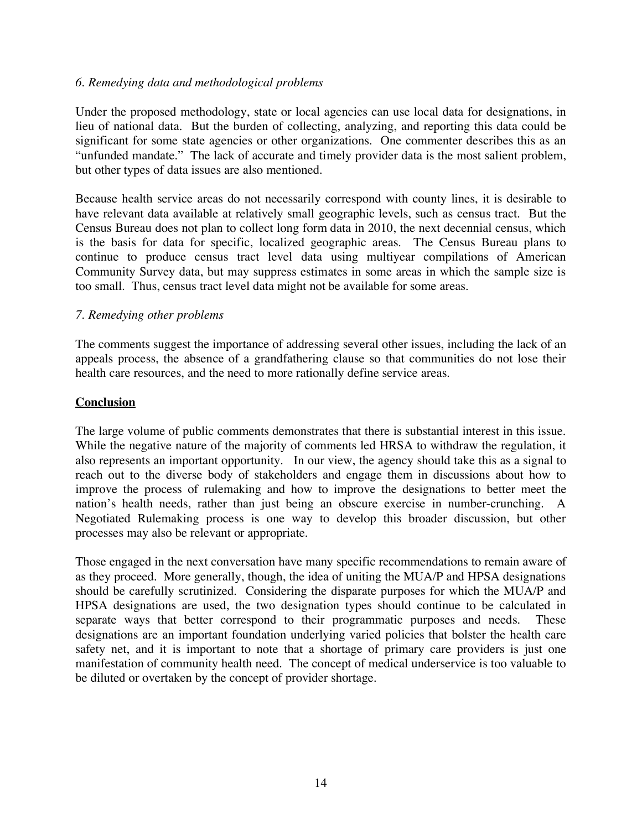## *6. Remedying data and methodological problems*

Under the proposed methodology, state or local agencies can use local data for designations, in lieu of national data. But the burden of collecting, analyzing, and reporting this data could be significant for some state agencies or other organizations. One commenter describes this as an "unfunded mandate." The lack of accurate and timely provider data is the most salient problem, but other types of data issues are also mentioned.

Because health service areas do not necessarily correspond with county lines, it is desirable to have relevant data available at relatively small geographic levels, such as census tract. But the Census Bureau does not plan to collect long form data in 2010, the next decennial census, which is the basis for data for specific, localized geographic areas. The Census Bureau plans to continue to produce census tract level data using multiyear compilations of American Community Survey data, but may suppress estimates in some areas in which the sample size is too small. Thus, census tract level data might not be available for some areas.

### *7. Remedying other problems*

The comments suggest the importance of addressing several other issues, including the lack of an appeals process, the absence of a grandfathering clause so that communities do not lose their health care resources, and the need to more rationally define service areas.

### **Conclusion**

The large volume of public comments demonstrates that there is substantial interest in this issue. While the negative nature of the majority of comments led HRSA to withdraw the regulation, it also represents an important opportunity. In our view, the agency should take this as a signal to reach out to the diverse body of stakeholders and engage them in discussions about how to improve the process of rulemaking and how to improve the designations to better meet the nation's health needs, rather than just being an obscure exercise in number-crunching. A Negotiated Rulemaking process is one way to develop this broader discussion, but other processes may also be relevant or appropriate.

Those engaged in the next conversation have many specific recommendations to remain aware of as they proceed. More generally, though, the idea of uniting the MUA/P and HPSA designations should be carefully scrutinized. Considering the disparate purposes for which the MUA/P and HPSA designations are used, the two designation types should continue to be calculated in separate ways that better correspond to their programmatic purposes and needs. These designations are an important foundation underlying varied policies that bolster the health care safety net, and it is important to note that a shortage of primary care providers is just one manifestation of community health need. The concept of medical underservice is too valuable to be diluted or overtaken by the concept of provider shortage.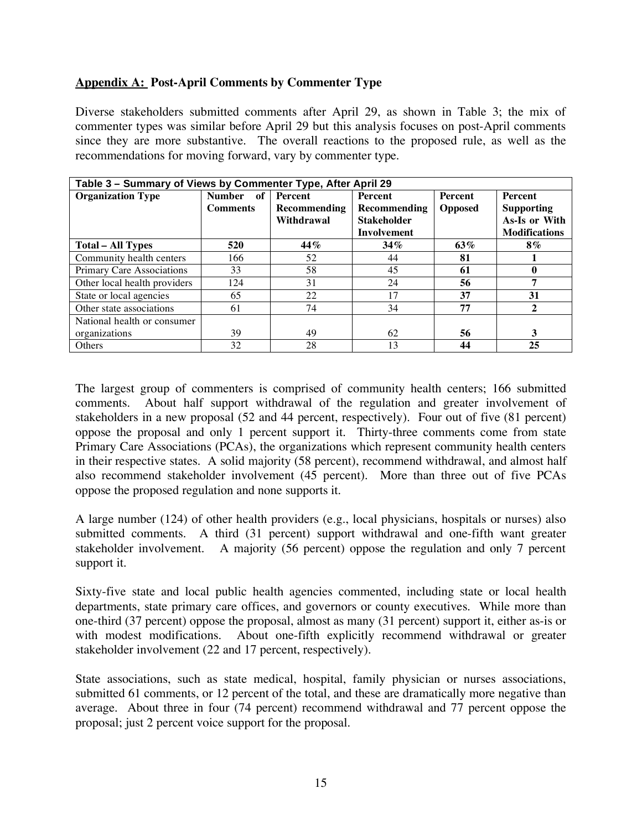## **Appendix A: Post-April Comments by Commenter Type**

Diverse stakeholders submitted comments after April 29, as shown in Table 3; the mix of commenter types was similar before April 29 but this analysis focuses on post-April comments since they are more substantive. The overall reactions to the proposed rule, as well as the recommendations for moving forward, vary by commenter type.

| Table 3 - Summary of Views by Commenter Type, After April 29 |                       |                |                    |                |                      |  |  |
|--------------------------------------------------------------|-----------------------|----------------|--------------------|----------------|----------------------|--|--|
| <b>Organization Type</b>                                     | <b>Number</b><br>- of | <b>Percent</b> | Percent            | Percent        | <b>Percent</b>       |  |  |
|                                                              | <b>Comments</b>       | Recommending   | Recommending       | <b>Opposed</b> | <b>Supporting</b>    |  |  |
|                                                              |                       | Withdrawal     | <b>Stakeholder</b> |                | As-Is or With        |  |  |
|                                                              |                       |                | <b>Involvement</b> |                | <b>Modifications</b> |  |  |
| <b>Total – All Types</b>                                     | 520                   | 44%            | $34\%$             | 63%            | $8\%$                |  |  |
| Community health centers                                     | 166                   | 52             | 44                 | 81             |                      |  |  |
| Primary Care Associations                                    | 33                    | 58             | 45                 | 61             |                      |  |  |
| Other local health providers                                 | 124                   | 31             | 24                 | 56             |                      |  |  |
| State or local agencies                                      | 65                    | 22             | 17                 | 37             | 31                   |  |  |
| Other state associations                                     | 61                    | 74             | 34                 | 77             |                      |  |  |
| National health or consumer                                  |                       |                |                    |                |                      |  |  |
| organizations                                                | 39                    | 49             | 62                 | 56             | 3                    |  |  |
| Others                                                       | 32                    | 28             | 13                 | 44             | 25                   |  |  |

The largest group of commenters is comprised of community health centers; 166 submitted comments. About half support withdrawal of the regulation and greater involvement of stakeholders in a new proposal (52 and 44 percent, respectively). Four out of five (81 percent) oppose the proposal and only 1 percent support it. Thirty-three comments come from state Primary Care Associations (PCAs), the organizations which represent community health centers in their respective states. A solid majority (58 percent), recommend withdrawal, and almost half also recommend stakeholder involvement (45 percent). More than three out of five PCAs oppose the proposed regulation and none supports it.

A large number (124) of other health providers (e.g., local physicians, hospitals or nurses) also submitted comments. A third (31 percent) support withdrawal and one-fifth want greater stakeholder involvement. A majority (56 percent) oppose the regulation and only 7 percent support it.

Sixty-five state and local public health agencies commented, including state or local health departments, state primary care offices, and governors or county executives. While more than one-third (37 percent) oppose the proposal, almost as many (31 percent) support it, either as-is or with modest modifications. About one-fifth explicitly recommend withdrawal or greater stakeholder involvement (22 and 17 percent, respectively).

State associations, such as state medical, hospital, family physician or nurses associations, submitted 61 comments, or 12 percent of the total, and these are dramatically more negative than average. About three in four (74 percent) recommend withdrawal and 77 percent oppose the proposal; just 2 percent voice support for the proposal.